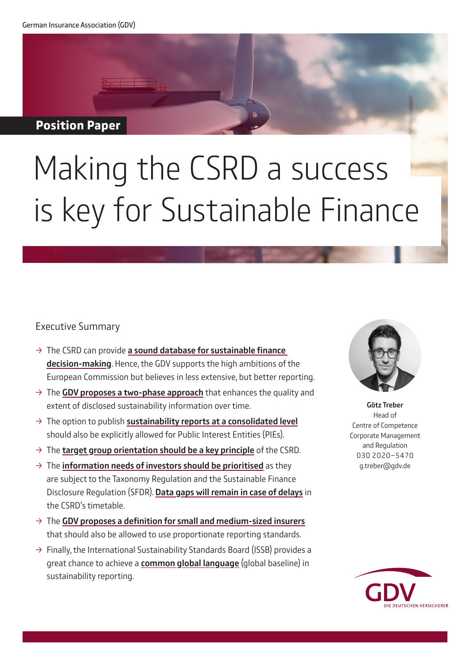#### **Position Paper**

# Making the CSRD a success is key for Sustainable Finance

#### Executive Summary

- $\rightarrow$  The CSRD can provide a sound database for sustainable finance decision-making. Hence, the GDV supports the high ambitions of the European Commission but believes in less extensive, but better reporting.
- $\rightarrow$  The GDV proposes a two-phase approach that enhances the quality and extent of disclosed sustainability information over time.
- $\rightarrow$  The option to publish sustainability reports at a consolidated level should also be explicitly allowed for Public Interest Entities (PIEs).
- $\rightarrow$  The target group orientation should be a key principle of the CSRD.
- $\rightarrow$  The information needs of investors should be prioritised as they are subject to the Taxonomy Regulation and the Sustainable Finance Disclosure Regulation (SFDR). Data gaps will remain in case of delays in the CSRD's timetable.
- $\rightarrow$  The GDV proposes a definition for small and medium-sized insurers that should also be allowed to use proportionate reporting standards.
- $\rightarrow$  Finally, the International Sustainability Standards Board (ISSB) provides a great chance to achieve a **common global language** (global baseline) in sustainability reporting.



Götz Treber Head of Centre of Competence Corporate Management and Regulation 030 2020-5470 g.treber@gdv.de

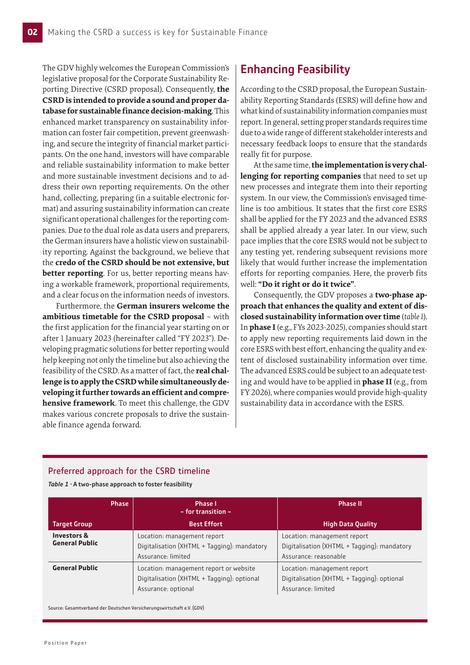The GDV highly welcomes the European Commission's legislative proposal for the Corporate Sustainability Reporting Directive (CSRD proposal). Consequently, **the CSRD is intended to provide a sound and proper database for sustainable finance decision-making**. This enhanced market transparency on sustainability information can foster fair competition, prevent greenwashing, and secure the integrity of financial market participants. On the one hand, investors will have comparable and reliable sustainability information to make better and more sustainable investment decisions and to address their own reporting requirements. On the other hand, collecting, preparing (in a suitable electronic format) and assuring sustainability information can create significant operational challenges for the reporting companies. Due to the dual role as data users and preparers, the German insurers have a holistic view on sustainability reporting. Against the background, we believe that the **credo of the CSRD should be not extensive, but better reporting**. For us, better reporting means having a workable framework, proportional requirements, and a clear focus on the information needs of investors.

Furthermore, the **German insurers welcome the ambitious timetable for the CSRD proposal** – with the first application for the financial year starting on or after 1 January 2023 (hereinafter called "FY 2023"). Developing pragmatic solutions for better reporting would help keeping not only the timeline but also achieving the feasibility of the CSRD. As a matter of fact, the **real challenge is to apply the CSRD while simultaneously developing it further towards an efficient and comprehensive framework**. To meet this challenge, the GDV makes various concrete proposals to drive the sustainable finance agenda forward.

# Enhancing Feasibility

According to the CSRD proposal, the European Sustainability Reporting Standards (ESRS) will define how and what kind of sustainability information companies must report. In general, setting proper standards requires time due to a wide range of different stakeholder interests and necessary feedback loops to ensure that the standards really fit for purpose.

At the same time, **the implementation is very challenging for reporting companies** that need to set up new processes and integrate them into their reporting system. In our view, the Commission's envisaged timeline is too ambitious. It states that the first core ESRS shall be applied for the FY 2023 and the advanced ESRS shall be applied already a year later. In our view, such pace implies that the core ESRS would not be subject to any testing yet, rendering subsequent revisions more likely that would further increase the implementation efforts for reporting companies. Here, the proverb fits well: **"Do it right or do it twice"**.

Consequently, the GDV proposes a **two-phase approach that enhances the quality and extent of disclosed sustainability information over time** (*table 1*). In **phase I** (e.g., FYs 2023-2025), companies should start to apply new reporting requirements laid down in the core ESRS with best effort, enhancing the quality and extent of disclosed sustainability information over time. The advanced ESRS could be subject to an adequate testing and would have to be applied in **phase II** (e.g., from FY 2026), where companies would provide high-quality sustainability data in accordance with the ESRS.

#### Preferred approach for the CSRD timeline

*Table 1* · A two-phase approach to foster feasibility

|                                                 | <b>Phase</b> | <b>Phase I</b><br>$-$ for transition $-$                                                                    | <b>Phase II</b>                                                                                     |
|-------------------------------------------------|--------------|-------------------------------------------------------------------------------------------------------------|-----------------------------------------------------------------------------------------------------|
| <b>Target Group</b>                             |              | <b>Best Effort</b>                                                                                          | <b>High Data Quality</b>                                                                            |
| <b>Investors &amp;</b><br><b>General Public</b> |              | Location: management report<br>Digitalisation (XHTML + Tagging): mandatory<br>Assurance: limited            | Location: management report<br>Digitalisation (XHTML + Tagging): mandatory<br>Assurance: reasonable |
| <b>General Public</b>                           |              | Location: management report or website<br>Digitalisation (XHTML + Tagging): optional<br>Assurance: optional | Location: management report<br>Digitalisation (XHTML + Tagging): optional<br>Assurance: limited     |

Source: Gesamtverband der Deutschen Versicherungswirtschaft e.V. (GDV)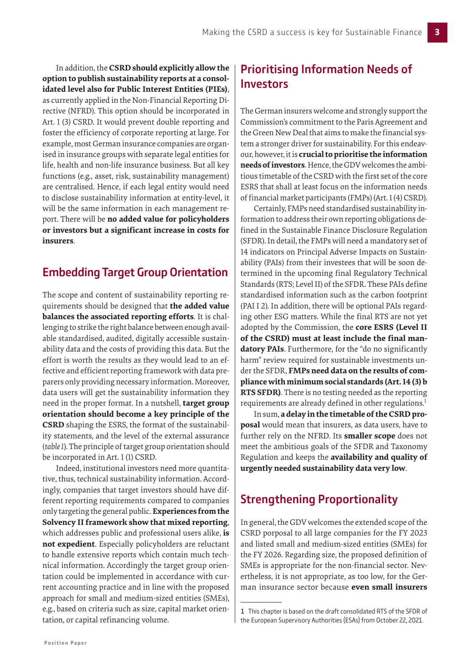In addition, the **CSRD should explicitly allow the option to publish sustainability reports at a consolidated level also for Public Interest Entities (PIEs)**, as currently applied in the Non-Financial Reporting Directive (NFRD). This option should be incorporated in Art. 1 (3) CSRD. It would prevent double reporting and foster the efficiency of corporate reporting at large. For example, most German insurance companies are organised in insurance groups with separate legal entities for life, health and non-life insurance business. But all key functions (e.g., asset, risk, sustainability management) are centralised. Hence, if each legal entity would need to disclose sustainability information at entity-level, it will be the same information in each management report. There will be **no added value for policyholders or investors but a significant increase in costs for insurers**.

#### Embedding Target Group Orientation

The scope and content of sustainability reporting requirements should be designed that **the added value balances the associated reporting efforts**. It is challenging to strike the right balance between enough available standardised, audited, digitally accessible sustainability data and the costs of providing this data. But the effort is worth the results as they would lead to an effective and efficient reporting framework with data preparers only providing necessary information. Moreover, data users will get the sustainability information they need in the proper format. In a nutshell, **target group orientation should become a key principle of the CSRD** shaping the ESRS, the format of the sustainability statements, and the level of the external assurance (*table 1*). The principle of target group orientation should be incorporated in Art. 1 (1) CSRD.

Indeed, institutional investors need more quantitative, thus, technical sustainability information. Accordingly, companies that target investors should have different reporting requirements compared to companies only targeting the general public. **Experiences from the Solvency II framework show that mixed reporting**, which addresses public and professional users alike, **is not expedient**. Especially policyholders are reluctant to handle extensive reports which contain much technical information. Accordingly the target group orientation could be implemented in accordance with current accounting practice and in line with the proposed approach for small and medium-sized entities (SMEs), e.g., based on criteria such as size, capital market orientation, or capital refinancing volume.

# Prioritising Information Needs of Investors

The German insurers welcome and strongly support the Commission's commitment to the Paris Agreement and the Green New Deal that aims to make the financial system a stronger driver for sustainability. For this endeavour, however, it is **crucial to prioritise the information needs of investors**. Hence, the GDV welcomes the ambitious timetable of the CSRD with the first set of the core ESRS that shall at least focus on the information needs of financial market participants (FMPs) (Art. 1 (4) CSRD).

Certainly, FMPs need standardised sustainability information to address their own reporting obligations defined in the Sustainable Finance Disclosure Regulation (SFDR). In detail, the FMPs will need a mandatory set of 14 indicators on Principal Adverse Impacts on Sustainability (PAIs) from their investees that will be soon determined in the upcoming final Regulatory Technical Standards (RTS; Level II) of the SFDR. These PAIs define standardised information such as the carbon footprint (PAI I 2). In addition, there will be optional PAIs regarding other ESG matters. While the final RTS are not yet adopted by the Commission, the **core ESRS (Level II of the CSRD) must at least include the final mandatory PAIs**. Furthermore, for the "do no significantly harm" review required for sustainable investments under the SFDR, **FMPs need data on the results of compliance with minimum social standards (Art. 14 (3) b RTS SFDR)**. There is no testing needed as the reporting requirements are already defined in other regulations.<sup>1</sup>

In sum, **a delay in the timetable of the CSRD proposal** would mean that insurers, as data users, have to further rely on the NFRD. Its **smaller scope** does not meet the ambitious goals of the SFDR and Taxonomy Regulation and keeps the **availability and quality of urgently needed sustainability data very low**.

# Strengthening Proportionality

In general, the GDV welcomes the extended scope of the CSRD porposal to all large companies for the FY 2023 and listed small and medium-sized entities (SMEs) for the FY 2026. Regarding size, the proposed definition of SMEs is appropriate for the non-financial sector. Nevertheless, it is not appropriate, as too low, for the German insurance sector because **even small insurers** 

<sup>1</sup> This chapter is based on the draft consolidated RTS of the SFDR of the European Supervisory Authorities (ESAs) from October 22, 2021.